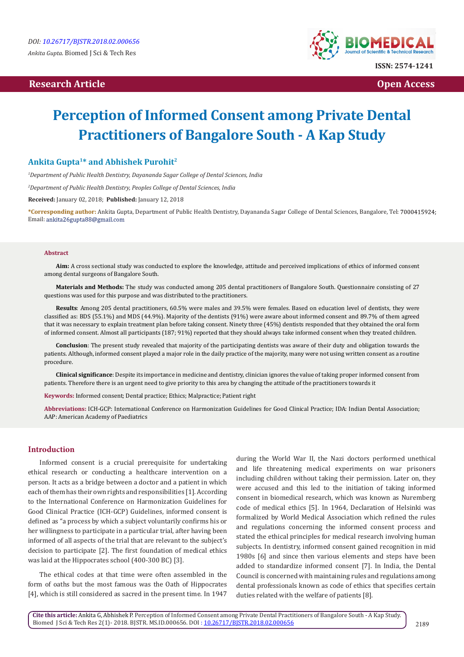## **Research Article Open Access Contract Article Open Access Open Access**



# **Perception of Informed Consent among Private Dental Practitioners of Bangalore South - A Kap Study**

## **Ankita Gupta1\* and Abhishek Purohit2**

*1 Department of Public Health Dentistry, Dayananda Sagar College of Dental Sciences, India*

*2 Department of Public Health Dentistry, Peoples College of Dental Sciences, India*

**Received:** January 02, 2018; **Published:** January 12, 2018

**\*Corresponding author:** Ankita Gupta, Department of Public Health Dentistry, Dayananda Sagar College of Dental Sciences, Bangalore, Tel: Email: ankita26gupta88@gmail.com

#### **Abstract**

**Aim:** A cross sectional study was conducted to explore the knowledge, attitude and perceived implications of ethics of informed consent among dental surgeons of Bangalore South.

**Materials and Methods:** The study was conducted among 205 dental practitioners of Bangalore South. Questionnaire consisting of 27 questions was used for this purpose and was distributed to the practitioners.

**Results**: Among 205 dental practitioners, 60.5% were males and 39.5% were females. Based on education level of dentists, they were classified as: BDS (55.1%) and MDS (44.9%). Majority of the dentists (91%) were aware about informed consent and 89.7% of them agreed that it was necessary to explain treatment plan before taking consent. Ninety three (45%) dentists responded that they obtained the oral form of informed consent. Almost all participants (187; 91%) reported that they should always take informed consent when they treated children.

**Conclusion**: The present study revealed that majority of the participating dentists was aware of their duty and obligation towards the patients. Although, informed consent played a major role in the daily practice of the majority, many were not using written consent as a routine procedure.

**Clinical significance**: Despite its importance in medicine and dentistry, clinician ignores the value of taking proper informed consent from patients. Therefore there is an urgent need to give priority to this area by changing the attitude of the practitioners towards it

**Keywords:** Informed consent; Dental practice; Ethics; Malpractice; Patient right

**Abbreviations:** ICH-GCP: International Conference on Harmonization Guidelines for Good Clinical Practice; IDA: Indian Dental Association; AAP: American Academy of Paediatrics

## **Introduction**

Informed consent is a crucial prerequisite for undertaking ethical research or conducting a healthcare intervention on a person. It acts as a bridge between a doctor and a patient in which each of them has their own rights and responsibilities [1]. According to the International Conference on Harmonization Guidelines for Good Clinical Practice (ICH-GCP) Guidelines, informed consent is defined as "a process by which a subject voluntarily confirms his or her willingness to participate in a particular trial, after having been informed of all aspects of the trial that are relevant to the subject's decision to participate [2]. The first foundation of medical ethics was laid at the Hippocrates school (400-300 BC) [3].

The ethical codes at that time were often assembled in the form of oaths but the most famous was the Oath of Hippocrates [4], which is still considered as sacred in the present time. In 1947

during the World War II, the Nazi doctors performed unethical and life threatening medical experiments on war prisoners including children without taking their permission. Later on, they were accused and this led to the initiation of taking informed consent in biomedical research, which was known as Nuremberg code of medical ethics [5]. In 1964, Declaration of Helsinki was formalized by World Medical Association which refined the rules and regulations concerning the informed consent process and stated the ethical principles for medical research involving human subjects. In dentistry, informed consent gained recognition in mid 1980s [6] and since then various elements and steps have been added to standardize informed consent [7]. In India, the Dental Council is concerned with maintaining rules and regulations among dental professionals known as code of ethics that specifies certain duties related with the welfare of patients [8].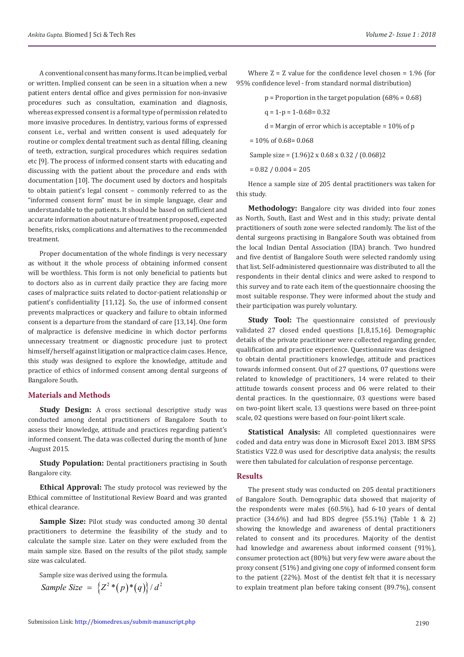A conventional consent has many forms. It can be implied, verbal or written. Implied consent can be seen in a situation when a new patient enters dental office and gives permission for non-invasive procedures such as consultation, examination and diagnosis, whereas expressed consent is a formal type of permission related to more invasive procedures. In dentistry, various forms of expressed consent i.e., verbal and written consent is used adequately for routine or complex dental treatment such as dental filling, cleaning of teeth, extraction, surgical procedures which requires sedation etc [9]. The process of informed consent starts with educating and discussing with the patient about the procedure and ends with documentation [10]. The document used by doctors and hospitals to obtain patient's legal consent – commonly referred to as the "informed consent form" must be in simple language, clear and understandable to the patients. It should be based on sufficient and accurate information about nature of treatment proposed, expected benefits, risks, complications and alternatives to the recommended treatment.

Proper documentation of the whole findings is very necessary as without it the whole process of obtaining informed consent will be worthless. This form is not only beneficial to patients but to doctors also as in current daily practice they are facing more cases of malpractice suits related to doctor-patient relationship or patient's confidentiality [11,12]. So, the use of informed consent prevents malpractices or quackery and failure to obtain informed consent is a departure from the standard of care [13,14]. One form of malpractice is defensive medicine in which doctor performs unnecessary treatment or diagnostic procedure just to protect himself/herself against litigation or malpractice claim cases. Hence, this study was designed to explore the knowledge, attitude and practice of ethics of informed consent among dental surgeons of Bangalore South.

#### **Materials and Methods**

**Study Design:** A cross sectional descriptive study was conducted among dental practitioners of Bangalore South to assess their knowledge, attitude and practices regarding patient's informed consent. The data was collected during the month of June -August 2015.

**Study Population:** Dental practitioners practising in South Bangalore city.

**Ethical Approval:** The study protocol was reviewed by the Ethical committee of Institutional Review Board and was granted ethical clearance.

**Sample Size:** Pilot study was conducted among 30 dental practitioners to determine the feasibility of the study and to calculate the sample size. Later on they were excluded from the main sample size. Based on the results of the pilot study, sample size was calculated.

Sample size was derived using the formula.

$$
Sample \, Size = \left\{Z^2 * (p) * (q)\right\} / d^2
$$

Where  $Z = Z$  value for the confidence level chosen = 1.96 (for 95% confidence level - from standard normal distribution)

 $p =$  Proportion in the target population (68% = 0.68)

 $q = 1-p = 1-0.68 = 0.32$ 

 $d =$  Margin of error which is acceptable = 10% of p

 $= 10\%$  of 0.68= 0.068

Sample size = (1.96)2 x 0.68 x 0.32 / (0.068)2

 $= 0.82 / 0.004 = 205$ 

Hence a sample size of 205 dental practitioners was taken for this study.

**Methodology:** Bangalore city was divided into four zones as North, South, East and West and in this study; private dental practitioners of south zone were selected randomly. The list of the dental surgeons practising in Bangalore South was obtained from the local Indian Dental Association (IDA) branch. Two hundred and five dentist of Bangalore South were selected randomly using that list. Self-administered questionnaire was distributed to all the respondents in their dental clinics and were asked to respond to this survey and to rate each item of the questionnaire choosing the most suitable response. They were informed about the study and their participation was purely voluntary.

**Study Tool:** The questionnaire consisted of previously validated 27 closed ended questions [1,8,15,16]. Demographic details of the private practitioner were collected regarding gender, qualification and practice experience. Questionnaire was designed to obtain dental practitioners knowledge, attitude and practices towards informed consent. Out of 27 questions, 07 questions were related to knowledge of practitioners, 14 were related to their attitude towards consent process and 06 were related to their dental practices. In the questionnaire, 03 questions were based on two-point likert scale, 13 questions were based on three-point scale, 02 questions were based on four-point likert scale.

**Statistical Analysis:** All completed questionnaires were coded and data entry was done in Microsoft Excel 2013. IBM SPSS Statistics V22.0 was used for descriptive data analysis; the results were then tabulated for calculation of response percentage.

#### **Results**

The present study was conducted on 205 dental practitioners of Bangalore South. Demographic data showed that majority of the respondents were males (60.5%), had 6-10 years of dental practice  $(34.6\%)$  and had BDS degree  $(55.1\%)$  (Table 1 & 2) showing the knowledge and awareness of dental practitioners related to consent and its procedures. Majority of the dentist had knowledge and awareness about informed consent (91%), consumer protection act (80%) but very few were aware about the proxy consent (51%) and giving one copy of informed consent form to the patient (22%). Most of the dentist felt that it is necessary to explain treatment plan before taking consent (89.7%), consent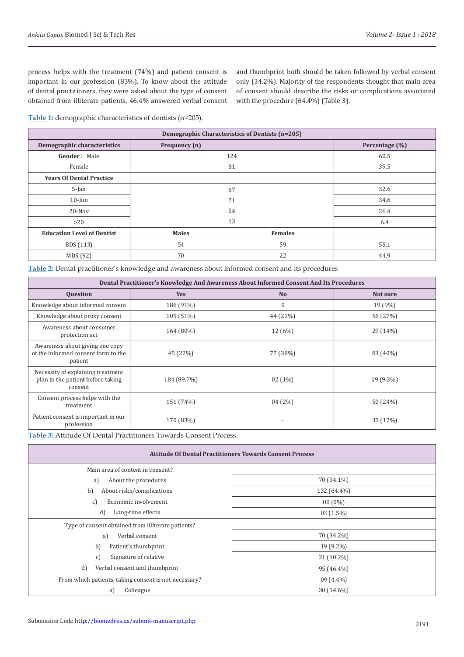process helps with the treatment (74%) and patient consent is important in our profession (83%). To know about the attitude of dental practitioners, they were asked about the type of consent obtained from illiterate patients, 46.4% answered verbal consent and thumbprint both should be taken followed by verbal consent only (34.2%). Majority of the respondents thought that main area of consent should describe the risks or complications associated with the procedure (64.4%) (Table 3).

**Table 1:** demographic characteristics of dentists (n=205).

| Demographic Characteristics of Dentists (n=205) |               |                |                |  |  |
|-------------------------------------------------|---------------|----------------|----------------|--|--|
| Demographic characteristics                     | Frequency (n) |                | Percentage (%) |  |  |
| Gender: Male                                    | 124           |                | 60.5           |  |  |
| Female                                          | 81            |                | 39.5           |  |  |
| <b>Years Of Dental Practice</b>                 |               |                |                |  |  |
| $5$ -Jan                                        | 67            |                | 32.6           |  |  |
| $10$ -Jun                                       | 71            |                | 34.6           |  |  |
| $20 - Nov$                                      | 54            |                | 26.4           |  |  |
| >20                                             | 13            |                | 6.4            |  |  |
| <b>Education Level of Dentist</b>               | <b>Males</b>  | <b>Females</b> |                |  |  |
| BDS (113)                                       | 54            | 59             | 55.1           |  |  |
| MDS (92)                                        | 70            | 22             | 44.9           |  |  |

**Table 2:** Dental practitioner's knowledge and awareness about informed consent and its procedures

| Dental Practitioner's Knowledge And Awareness About Informed Consent And Its Procedures |             |                |           |  |  |
|-----------------------------------------------------------------------------------------|-------------|----------------|-----------|--|--|
| <b>Question</b>                                                                         | <b>Yes</b>  | N <sub>o</sub> | Not sure  |  |  |
| Knowledge about informed consent                                                        | 186 (91%)   | $\mathbf{0}$   | $19(9\%)$ |  |  |
| Knowledge about proxy consent                                                           | 105 (51%)   | 44 (21%)       | 56 (27%)  |  |  |
| Awareness about consumer<br>protection act                                              | 164 (80%)   | 12 (6%)        | 29 (14%)  |  |  |
| Awareness about giving one copy<br>of the informed consent form to the<br>patient       | 45 (22%)    | 77 (38%)       | 83 (40%)  |  |  |
| Necessity of explaining treatment<br>plan to the patient before taking<br>consent       | 184 (89.7%) | $02(1\%)$      | 19 (9.3%) |  |  |
| Consent process helps with the<br>treatment                                             | 151 (74%)   | 04(2%)         | 50 (24%)  |  |  |
| Patient consent is important in our<br>profession                                       | 170 (83%)   |                | 35 (17%)  |  |  |

**Table 3:** Attitude Of Dental Practitioners Towards Consent Process.

| <b>Attitude Of Dental Practitioners Towards Consent Process</b> |              |  |  |
|-----------------------------------------------------------------|--------------|--|--|
| Main area of content in consent?                                |              |  |  |
| About the procedures<br>a)                                      | 70 (34.1%)   |  |  |
| b)<br>About risks/complications                                 | 132 (64.4%)  |  |  |
| Economic involvement<br>c)                                      | $00(0\%)$    |  |  |
| d)<br>Long-time effects                                         | $03(1.5\%)$  |  |  |
| Type of consent obtained from illiterate patients?              |              |  |  |
| Verbal consent<br>a)                                            | 70 (34.2%)   |  |  |
| Patient's thumbprint<br>b)                                      | 19 (9.2%)    |  |  |
| Signature of relative<br>c)                                     | $21(10.2\%)$ |  |  |
| d)<br>Verbal consent and thumbprint                             | 95 (46.4%)   |  |  |
| From which patients, taking consent is not necessary?           | $09(4.4\%)$  |  |  |
| Colleague<br>a)                                                 | 30 (14.6%)   |  |  |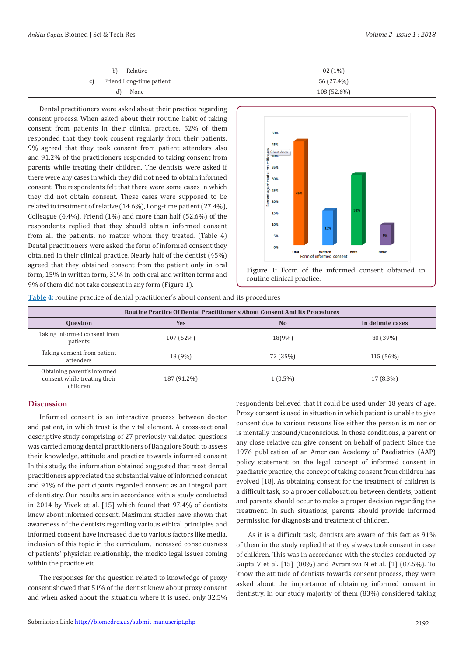| Relative<br>b)                 | $02(1\%)$   |
|--------------------------------|-------------|
| Friend Long-time patient<br>C) | 56 (27.4%)  |
| None<br>d)                     | 108 (52.6%) |
|                                |             |

Dental practitioners were asked about their practice regarding consent process. When asked about their routine habit of taking consent from patients in their clinical practice, 52% of them responded that they took consent regularly from their patients, 9% agreed that they took consent from patient attenders also and 91.2% of the practitioners responded to taking consent from parents while treating their children. The dentists were asked if there were any cases in which they did not need to obtain informed consent. The respondents felt that there were some cases in which they did not obtain consent. These cases were supposed to be related to treatment of relative (14.6%), Long-time patient (27.4%), Colleague (4.4%), Friend (1%) and more than half (52.6%) of the respondents replied that they should obtain informed consent from all the patients, no matter whom they treated. (Table 4) Dental practitioners were asked the form of informed consent they obtained in their clinical practice. Nearly half of the dentist (45%) agreed that they obtained consent from the patient only in oral form, 15% in written form, 31% in both oral and written forms and 9% of them did not take consent in any form (Figure 1).



**Table 4:** routine practice of dental practitioner's about consent and its procedures

| Routine Practice Of Dental Practitioner's About Consent And Its Procedures |             |            |                   |  |
|----------------------------------------------------------------------------|-------------|------------|-------------------|--|
| <b>Ouestion</b>                                                            | <b>Yes</b>  | <b>No</b>  | In definite cases |  |
| Taking informed consent from<br>patients                                   | 107 (52%)   | 18(9%)     | 80 (39%)          |  |
| Taking consent from patient<br>attenders                                   | 18 (9%)     | 72 (35%)   | 115 (56%)         |  |
| Obtaining parent's informed<br>consent while treating their<br>children    | 187 (91.2%) | $1(0.5\%)$ | 17 (8.3%)         |  |

## **Discussion**

Informed consent is an interactive process between doctor and patient, in which trust is the vital element. A cross-sectional descriptive study comprising of 27 previously validated questions was carried among dental practitioners of Bangalore South to assess their knowledge, attitude and practice towards informed consent In this study, the information obtained suggested that most dental practitioners appreciated the substantial value of informed consent and 91% of the participants regarded consent as an integral part of dentistry. Our results are in accordance with a study conducted in 2014 by Vivek et al. [15] which found that 97.4% of dentists knew about informed consent. Maximum studies have shown that awareness of the dentists regarding various ethical principles and informed consent have increased due to various factors like media, inclusion of this topic in the curriculum, increased consciousness of patients' physician relationship, the medico legal issues coming within the practice etc.

The responses for the question related to knowledge of proxy consent showed that 51% of the dentist knew about proxy consent and when asked about the situation where it is used, only 32.5%

respondents believed that it could be used under 18 years of age. Proxy consent is used in situation in which patient is unable to give consent due to various reasons like either the person is minor or is mentally unsound/unconscious. In those conditions, a parent or any close relative can give consent on behalf of patient. Since the 1976 publication of an American Academy of Paediatrics (AAP) policy statement on the legal concept of informed consent in paediatric practice, the concept of taking consent from children has evolved [18]. As obtaining consent for the treatment of children is a difficult task, so a proper collaboration between dentists, patient and parents should occur to make a proper decision regarding the treatment. In such situations, parents should provide informed permission for diagnosis and treatment of children.

As it is a difficult task, dentists are aware of this fact as 91% of them in the study replied that they always took consent in case of children. This was in accordance with the studies conducted by Gupta V et al. [15] (80%) and Avramova N et al. [1] (87.5%). To know the attitude of dentists towards consent process, they were asked about the importance of obtaining informed consent in dentistry. In our study majority of them (83%) considered taking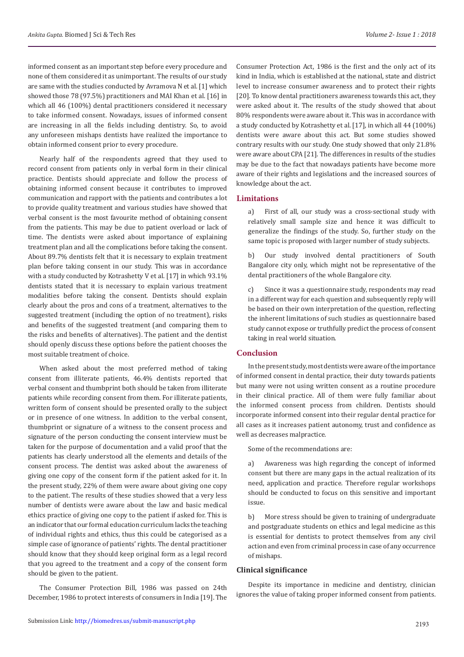informed consent as an important step before every procedure and none of them considered it as unimportant. The results of our study are same with the studies conducted by Avramova N et al. [1] which showed those 78 (97.5%) practitioners and MAI Khan et al. [16] in which all 46 (100%) dental practitioners considered it necessary to take informed consent. Nowadays, issues of informed consent are increasing in all the fields including dentistry. So, to avoid any unforeseen mishaps dentists have realized the importance to obtain informed consent prior to every procedure.

Nearly half of the respondents agreed that they used to record consent from patients only in verbal form in their clinical practice. Dentists should appreciate and follow the process of obtaining informed consent because it contributes to improved communication and rapport with the patients and contributes a lot to provide quality treatment and various studies have showed that verbal consent is the most favourite method of obtaining consent from the patients. This may be due to patient overload or lack of time. The dentists were asked about importance of explaining treatment plan and all the complications before taking the consent. About 89.7% dentists felt that it is necessary to explain treatment plan before taking consent in our study. This was in accordance with a study conducted by Kotrashetty V et al. [17] in which 93.1% dentists stated that it is necessary to explain various treatment modalities before taking the consent. Dentists should explain clearly about the pros and cons of a treatment, alternatives to the suggested treatment (including the option of no treatment), risks and benefits of the suggested treatment (and comparing them to the risks and benefits of alternatives). The patient and the dentist should openly discuss these options before the patient chooses the most suitable treatment of choice.

When asked about the most preferred method of taking consent from illiterate patients, 46.4% dentists reported that verbal consent and thumbprint both should be taken from illiterate patients while recording consent from them. For illiterate patients, written form of consent should be presented orally to the subject or in presence of one witness. In addition to the verbal consent, thumbprint or signature of a witness to the consent process and signature of the person conducting the consent interview must be taken for the purpose of documentation and a valid proof that the patients has clearly understood all the elements and details of the consent process. The dentist was asked about the awareness of giving one copy of the consent form if the patient asked for it. In the present study, 22% of them were aware about giving one copy to the patient. The results of these studies showed that a very less number of dentists were aware about the law and basic medical ethics practice of giving one copy to the patient if asked for. This is an indicator that our formal education curriculum lacks the teaching of individual rights and ethics, thus this could be categorised as a simple case of ignorance of patients' rights. The dental practitioner should know that they should keep original form as a legal record that you agreed to the treatment and a copy of the consent form should be given to the patient.

The Consumer Protection Bill, 1986 was passed on 24th December, 1986 to protect interests of consumers in India [19]. The Consumer Protection Act, 1986 is the first and the only act of its kind in India, which is established at the national, state and district level to increase consumer awareness and to protect their rights [20]. To know dental practitioners awareness towards this act, they were asked about it. The results of the study showed that about 80% respondents were aware about it. This was in accordance with a study conducted by Kotrashetty et al. [17], in which all 44 (100%) dentists were aware about this act. But some studies showed contrary results with our study. One study showed that only 21.8% were aware about CPA [21]. The differences in results of the studies may be due to the fact that nowadays patients have become more aware of their rights and legislations and the increased sources of knowledge about the act.

#### **Limitations**

a) First of all, our study was a cross-sectional study with relatively small sample size and hence it was difficult to generalize the findings of the study. So, further study on the same topic is proposed with larger number of study subjects.

b) Our study involved dental practitioners of South Bangalore city only, which might not be representative of the dental practitioners of the whole Bangalore city.

c) Since it was a questionnaire study, respondents may read in a different way for each question and subsequently reply will be based on their own interpretation of the question, reflecting the inherent limitations of such studies as questionnaire based study cannot expose or truthfully predict the process of consent taking in real world situation.

## **Conclusion**

In the present study, most dentists were aware of the importance of informed consent in dental practice, their duty towards patients but many were not using written consent as a routine procedure in their clinical practice. All of them were fully familiar about the informed consent process from children. Dentists should incorporate informed consent into their regular dental practice for all cases as it increases patient autonomy, trust and confidence as well as decreases malpractice.

Some of the recommendations are:

a) Awareness was high regarding the concept of informed consent but there are many gaps in the actual realization of its need, application and practice. Therefore regular workshops should be conducted to focus on this sensitive and important issue.

b) More stress should be given to training of undergraduate and postgraduate students on ethics and legal medicine as this is essential for dentists to protect themselves from any civil action and even from criminal process in case of any occurrence of mishaps.

## **Clinical significance**

Despite its importance in medicine and dentistry, clinician ignores the value of taking proper informed consent from patients.